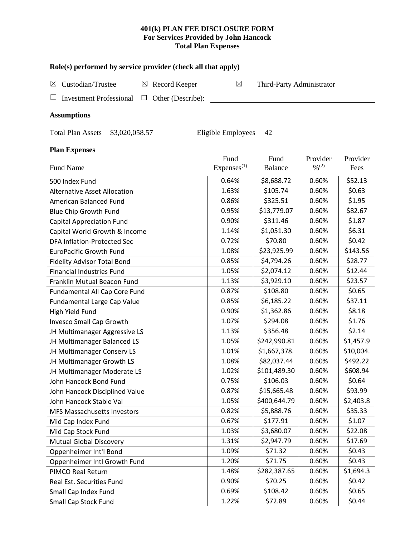## **401(k) PLAN FEE DISCLOSURE FORM For Services Provided by John Hancock Total Plan Expenses**

| Role(s) performed by service provider (check all that apply)  |                        |                           |                              |           |  |  |
|---------------------------------------------------------------|------------------------|---------------------------|------------------------------|-----------|--|--|
| Custodian/Trustee<br>$\boxtimes$ Record Keeper<br>$\boxtimes$ | $\boxtimes$            | Third-Party Administrator |                              |           |  |  |
| <b>Investment Professional</b><br>Other (Describe):<br>⊔      |                        |                           |                              |           |  |  |
| <b>Assumptions</b>                                            |                        |                           |                              |           |  |  |
| Total Plan Assets \$3,020,058.57                              | Eligible Employees     | 42                        |                              |           |  |  |
| <b>Plan Expenses</b>                                          |                        |                           |                              |           |  |  |
|                                                               | Fund                   | Fund                      | Provider                     | Provider  |  |  |
| Fund Name                                                     | Express <sup>(1)</sup> | <b>Balance</b>            | $\frac{9}{6}$ <sup>(2)</sup> | Fees      |  |  |
| 500 Index Fund                                                | 0.64%                  | \$8,688.72                | 0.60%                        | \$52.13   |  |  |
| <b>Alternative Asset Allocation</b>                           | 1.63%                  | \$105.74                  | 0.60%                        | \$0.63    |  |  |
| American Balanced Fund                                        | 0.86%                  | \$325.51                  | 0.60%                        | \$1.95    |  |  |
| <b>Blue Chip Growth Fund</b>                                  | 0.95%                  | \$13,779.07               | 0.60%                        | \$82.67   |  |  |
| <b>Capital Appreciation Fund</b>                              | 0.90%                  | \$311.46                  | 0.60%                        | \$1.87    |  |  |
| Capital World Growth & Income                                 | 1.14%                  | \$1,051.30                | 0.60%                        | \$6.31    |  |  |
| <b>DFA Inflation-Protected Sec</b>                            | 0.72%                  | \$70.80                   | 0.60%                        | \$0.42    |  |  |
| <b>EuroPacific Growth Fund</b>                                | 1.08%                  | \$23,925.99               | 0.60%                        | \$143.56  |  |  |
| <b>Fidelity Advisor Total Bond</b>                            | 0.85%                  | \$4,794.26                | 0.60%                        | \$28.77   |  |  |
| <b>Financial Industries Fund</b>                              | 1.05%                  | \$2,074.12                | 0.60%                        | \$12.44   |  |  |
| Franklin Mutual Beacon Fund                                   | 1.13%                  | \$3,929.10                | 0.60%                        | \$23.57   |  |  |
| Fundamental All Cap Core Fund                                 | 0.87%                  | \$108.80                  | 0.60%                        | \$0.65    |  |  |
| <b>Fundamental Large Cap Value</b>                            | 0.85%                  | \$6,185.22                | 0.60%                        | \$37.11   |  |  |
| High Yield Fund                                               | 0.90%                  | \$1,362.86                | 0.60%                        | \$8.18    |  |  |
| <b>Invesco Small Cap Growth</b>                               | 1.07%                  | \$294.08                  | 0.60%                        | \$1.76    |  |  |
| JH Multimanager Aggressive LS                                 | 1.13%                  | \$356.48                  | 0.60%                        | \$2.14    |  |  |
| JH Multimanager Balanced LS                                   | 1.05%                  | \$242,990.81              | 0.60%                        | \$1,457.9 |  |  |
| JH Multimanager Conserv LS                                    | 1.01%                  | \$1,667,378.              | 0.60%                        | \$10,004. |  |  |
| JH Multimanager Growth LS                                     | 1.08%                  | \$82,037.44               | 0.60%                        | \$492.22  |  |  |
| JH Multimanager Moderate LS                                   | 1.02%                  | \$101,489.30              | 0.60%                        | \$608.94  |  |  |
| John Hancock Bond Fund                                        | 0.75%                  | \$106.03                  | 0.60%                        | \$0.64    |  |  |
| John Hancock Disciplined Value                                | 0.87%                  | \$15,665.48               | 0.60%                        | \$93.99   |  |  |
| John Hancock Stable Val                                       | 1.05%                  | \$400,644.79              | 0.60%                        | \$2,403.8 |  |  |
| MFS Massachusetts Investors                                   | 0.82%                  | \$5,888.76                | 0.60%                        | \$35.33   |  |  |
| Mid Cap Index Fund                                            | 0.67%                  | \$177.91                  | 0.60%                        | \$1.07    |  |  |
| Mid Cap Stock Fund                                            | 1.03%                  | \$3,680.07                | 0.60%                        | \$22.08   |  |  |
| <b>Mutual Global Discovery</b>                                | 1.31%                  | \$2,947.79                | 0.60%                        | \$17.69   |  |  |
| Oppenheimer Int'l Bond                                        | 1.09%                  | \$71.32                   | 0.60%                        | \$0.43    |  |  |
| Oppenheimer Intl Growth Fund                                  | 1.20%                  | \$71.75                   | 0.60%                        | \$0.43    |  |  |
| PIMCO Real Return                                             | 1.48%                  | \$282,387.65              | 0.60%                        | \$1,694.3 |  |  |
| Real Est. Securities Fund                                     | 0.90%                  | \$70.25                   | 0.60%                        | \$0.42    |  |  |
| Small Cap Index Fund                                          | 0.69%                  | \$108.42                  | 0.60%                        | \$0.65    |  |  |
| Small Cap Stock Fund                                          | 1.22%                  | \$72.89                   | 0.60%                        | \$0.44    |  |  |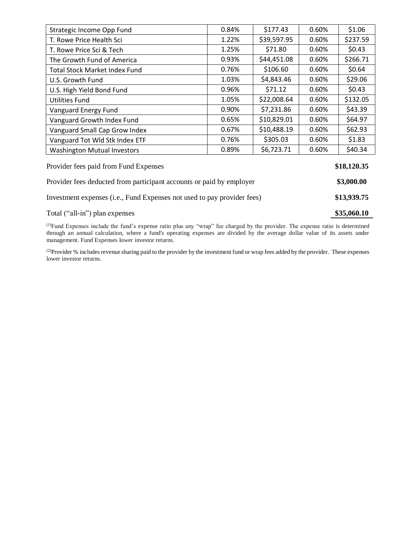| Strategic Income Opp Fund                                               | 0.84% | \$177.43    | 0.60% | \$1.06   |
|-------------------------------------------------------------------------|-------|-------------|-------|----------|
| T. Rowe Price Health Sci                                                | 1.22% | \$39,597.95 | 0.60% | \$237.59 |
| T. Rowe Price Sci & Tech                                                | 1.25% | \$71.80     | 0.60% | \$0.43   |
| The Growth Fund of America                                              | 0.93% | \$44,451.08 | 0.60% | \$266.71 |
| <b>Total Stock Market Index Fund</b>                                    | 0.76% | \$106.60    | 0.60% | \$0.64   |
| U.S. Growth Fund                                                        | 1.03% | \$4,843.46  | 0.60% | \$29.06  |
| U.S. High Yield Bond Fund                                               | 0.96% | \$71.12     | 0.60% | \$0.43   |
| <b>Utilities Fund</b>                                                   | 1.05% | \$22,008.64 | 0.60% | \$132.05 |
| Vanguard Energy Fund                                                    | 0.90% | \$7,231.86  | 0.60% | \$43.39  |
| Vanguard Growth Index Fund                                              | 0.65% | \$10,829.01 | 0.60% | \$64.97  |
| Vanguard Small Cap Grow Index                                           | 0.67% | \$10,488.19 | 0.60% | \$62.93  |
| Vanguard Tot Wld Stk Index ETF                                          | 0.76% | \$305.03    | 0.60% | \$1.83   |
| <b>Washington Mutual Investors</b>                                      | 0.89% | \$6,723.71  | 0.60% | \$40.34  |
| Provider fees paid from Fund Expenses                                   |       |             |       |          |
| Provider fees deducted from participant accounts or paid by employer    |       |             |       |          |
| Investment expenses (i.e., Fund Expenses not used to pay provider fees) |       |             |       |          |

Total ("all-in") plan expenses **\$35,060.10** 

(1)Fund Expenses include the fund's expense ratio plus any "wrap" fee charged by the provider. The expense ratio is determined through an annual calculation, where a fund's operating expenses are divided by the average dollar value of its assets under management. Fund Expenses lower investor returns.

<sup>(2)</sup>Provider % includes revenue sharing paid to the provider by the investment fund or wrap fees added by the provider. These expenses lower investor returns.